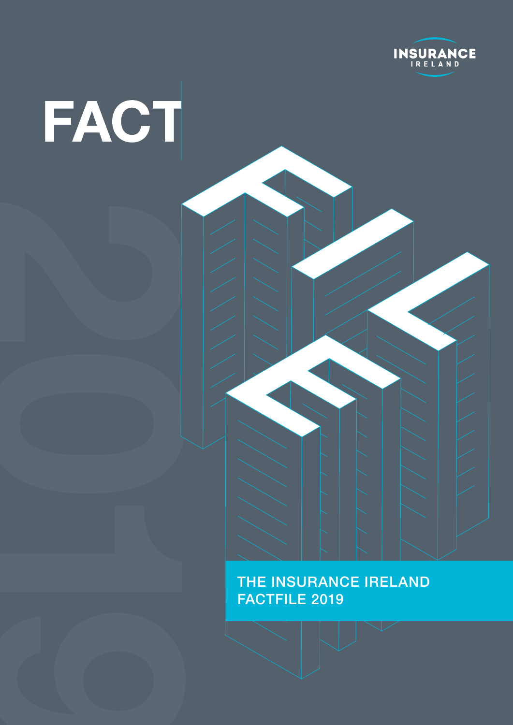

# FACT

**2** 

### THE INSURANCE IRELAND FACTFILE 2019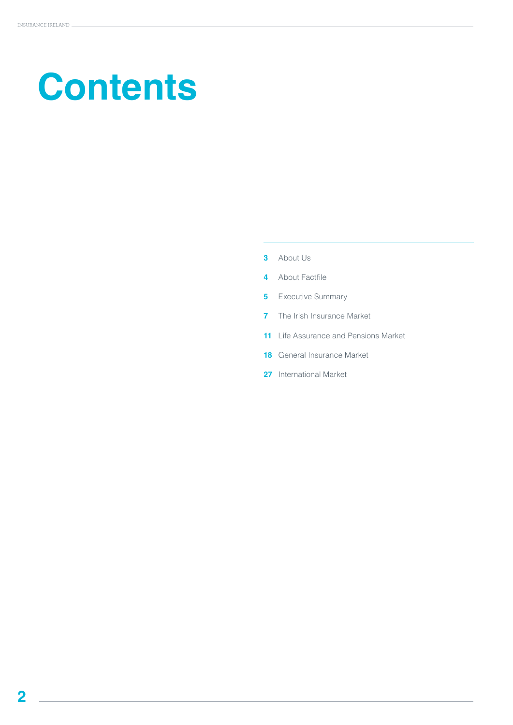# **Contents**

- About Us
- About Factfile
- Executive Summary
- The Irish Insurance Market
- Life Assurance and Pensions Market
- General Insurance Market
- International Market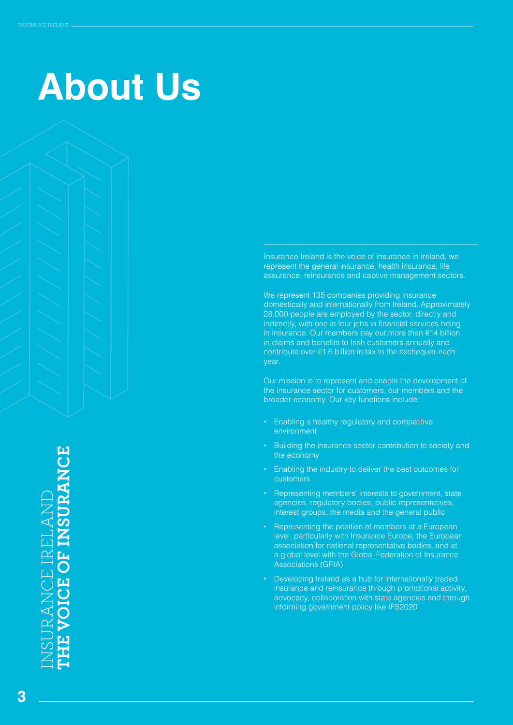# **About Us**

Insurance Ireland is the voice of insurance in Ireland, we represent the general insurance, health insurance, life assurance, reinsurance and captive management sectors.

We represent 135 companies providing insurance domestically and internationally from Ireland. Approximately 28,000 people are employed by the sector, directly and indirectly, with one in four jobs in financial services being in insurance. Our members pay out more than €14 billion in claims and benefits to Irish customers annually and contribute over €1.6 billion in tax to the exchequer each year.

Our mission is to represent and enable the development of the insurance sector for customers, our members and the broader economy. Our key functions include:

- **•** Enabling a healthy regulatory and competitive environment
- **•** Building the insurance sector contribution to society and the economy
- **•** Enabling the industry to deliver the best outcomes for customers
- **•** Representing members' interests to government, state agencies, regulatory bodies, public representatives, interest groups, the media and the general public
- **•** Representing the position of members at a European level, particularly with Insurance Europe, the European association for national representative bodies, and at a global level with the Global Federation of Insurance Associations (GFIA)
- **•** Developing Ireland as a hub for internationally traded insurance and reinsurance through promotional activity, advocacy, collaboration with state agencies and through informing government policy like IFS2020

INSURANCE IRELAND **THE VOICE OF INSURANCE VOICE OF INSURANCE** CE IRELAN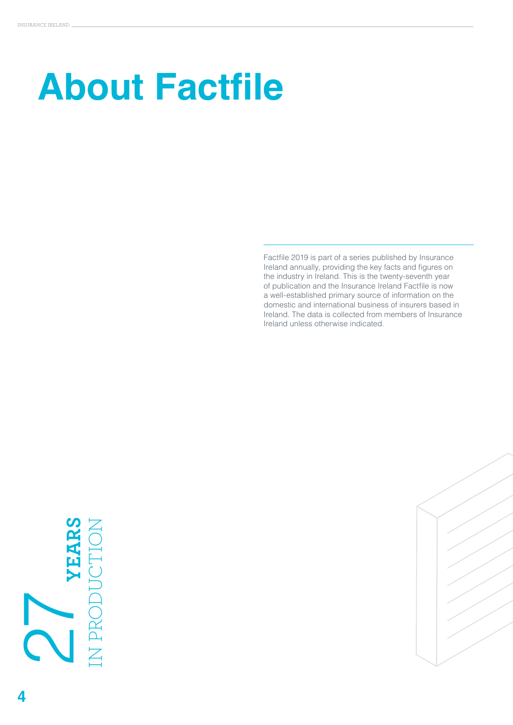# **About Factfile**

Factfile 2019 is part of a series published by Insurance Ireland annually, providing the key facts and figures on the industry in Ireland. This is the twenty-seventh year of publication and the Insurance Ireland Factfile is now a well-established primary source of information on the domestic and international business of insurers based in Ireland. The data is collected from members of Insurance Ireland unless otherwise indicated.

# **YEARS** IN PRODUCTION

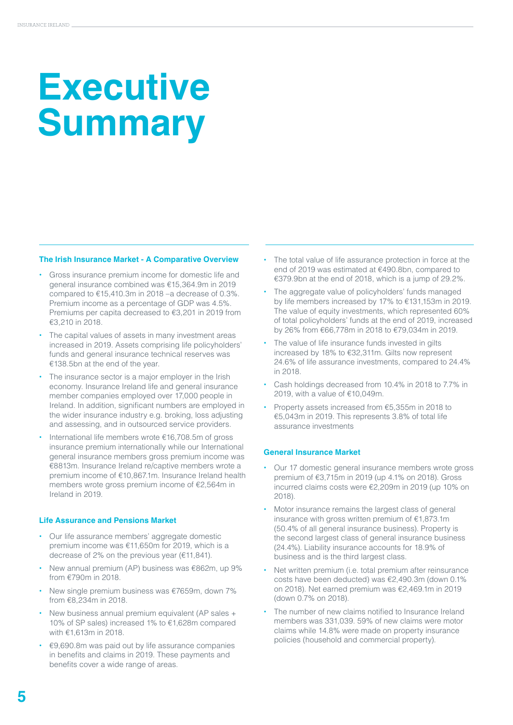# **Executive Summary**

### **The Irish Insurance Market - A Comparative Overview**

- **•** Gross insurance premium income for domestic life and general insurance combined was €15,364.9m in 2019 compared to  $£15,410.3m$  in 2018 –a decrease of 0.3%. Premium income as a percentage of GDP was 4.5%. Premiums per capita decreased to €3,201 in 2019 from €3,210 in 2018.
- **•** The capital values of assets in many investment areas increased in 2019. Assets comprising life policyholders' funds and general insurance technical reserves was €138.5bn at the end of the year.
- **•** The insurance sector is a major employer in the Irish economy. Insurance Ireland life and general insurance member companies employed over 17,000 people in Ireland. In addition, significant numbers are employed in the wider insurance industry e.g. broking, loss adjusting and assessing, and in outsourced service providers.
- **•** International life members wrote €16,708.5m of gross insurance premium internationally while our International general insurance members gross premium income was €8813m. Insurance Ireland re/captive members wrote a premium income of €10,867.1m. Insurance Ireland health members wrote gross premium income of €2,564m in Ireland in 2019.

### **Life Assurance and Pensions Market**

- **•** Our life assurance members' aggregate domestic premium income was €11,650m for 2019, which is a decrease of 2% on the previous year (€11,841).
- **•** New annual premium (AP) business was €862m, up 9% from €790m in 2018.
- **•** New single premium business was €7659m, down 7% from €8,234m in 2018.
- **•** New business annual premium equivalent (AP sales + 10% of SP sales) increased 1% to €1,628m compared with €1,613m in 2018.
- **•** €9,690.8m was paid out by life assurance companies in benefits and claims in 2019. These payments and benefits cover a wide range of areas.
- **•** The total value of life assurance protection in force at the end of 2019 was estimated at €490.8bn, compared to €379.9bn at the end of 2018, which is a jump of 29.2%.
- **•** The aggregate value of policyholders' funds managed by life members increased by 17% to €131,153m in 2019. The value of equity investments, which represented 60% of total policyholders' funds at the end of 2019, increased by 26% from €66,778m in 2018 to €79,034m in 2019.
- **•** The value of life insurance funds invested in gilts increased by 18% to €32,311m. Gilts now represent 24.6% of life assurance investments, compared to 24.4% in 2018.
- **•** Cash holdings decreased from 10.4% in 2018 to 7.7% in 2019, with a value of €10,049m.
- **•** Property assets increased from €5,355m in 2018 to €5,043m in 2019. This represents 3.8% of total life assurance investments

### **General Insurance Market**

- **•** Our 17 domestic general insurance members wrote gross premium of €3,715m in 2019 (up 4.1% on 2018). Gross incurred claims costs were €2,209m in 2019 (up 10% on 2018).
- **•** Motor insurance remains the largest class of general insurance with gross written premium of €1,873.1m (50.4% of all general insurance business). Property is the second largest class of general insurance business (24.4%). Liability insurance accounts for 18.9% of business and is the third largest class.
- **•** Net written premium (i.e. total premium after reinsurance costs have been deducted) was €2,490.3m (down 0.1% on 2018). Net earned premium was €2,469.1m in 2019 (down 0.7% on 2018).
- **•** The number of new claims notified to Insurance Ireland members was 331,039. 59% of new claims were motor claims while 14.8% were made on property insurance policies (household and commercial property).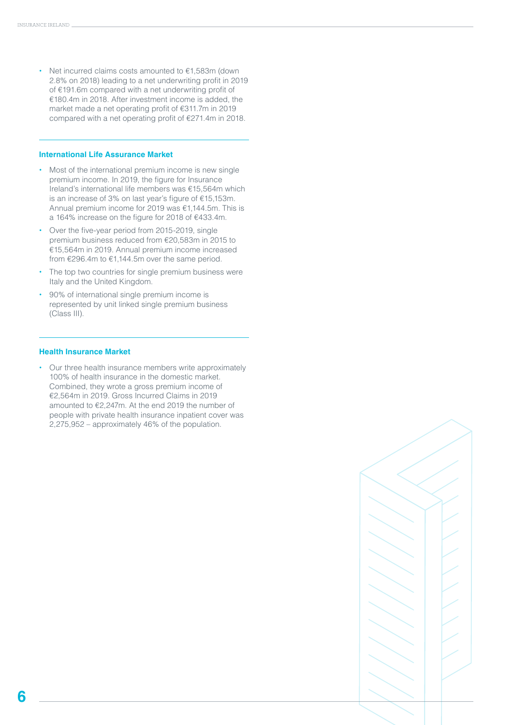**•** Net incurred claims costs amounted to €1,583m (down 2.8% on 2018) leading to a net underwriting profit in 2019 of €191.6m compared with a net underwriting profit of €180.4m in 2018. After investment income is added, the market made a net operating profit of €311.7m in 2019 compared with a net operating profit of €271.4m in 2018.

### **International Life Assurance Market**

- **•** Most of the international premium income is new single premium income. In 2019, the figure for Insurance Ireland's international life members was €15,564m which is an increase of 3% on last year's figure of €15,153m. Annual premium income for 2019 was €1,144.5m. This is a 164% increase on the figure for 2018 of €433.4m.
- **•** Over the five-year period from 2015-2019, single premium business reduced from €20,583m in 2015 to €15,564m in 2019. Annual premium income increased from €296.4m to €1,144.5m over the same period.
- **•** The top two countries for single premium business were Italy and the United Kingdom.
- **•** 90% of international single premium income is represented by unit linked single premium business (Class III).

### **Health Insurance Market**

**•** Our three health insurance members write approximately 100% of health insurance in the domestic market. Combined, they wrote a gross premium income of €2,564m in 2019. Gross Incurred Claims in 2019 amounted to €2,247m. At the end 2019 the number of people with private health insurance inpatient cover was 2,275,952 – approximately 46% of the population.

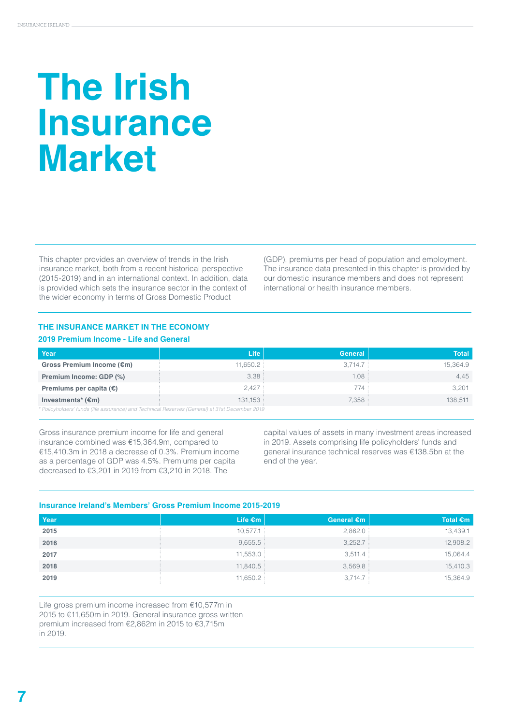# **The Irish Insurance Market**

This chapter provides an overview of trends in the Irish insurance market, both from a recent historical perspective (2015-2019) and in an international context. In addition, data is provided which sets the insurance sector in the context of the wider economy in terms of Gross Domestic Product

(GDP), premiums per head of population and employment. The insurance data presented in this chapter is provided by our domestic insurance members and does not represent international or health insurance members.

### **THE INSURANCE MARKET IN THE ECONOMY**

### **2019 Premium Income - Life and General**

| Year                                                                                           | Life     | <b>General</b> | <b>Total</b> |  |  |
|------------------------------------------------------------------------------------------------|----------|----------------|--------------|--|--|
| Gross Premium Income (€m)                                                                      | 11.650.2 | 3.714.7        | 15.364.9     |  |  |
| Premium Income: GDP (%)                                                                        | 3.38:    | 1.08:          | 4.45         |  |  |
| Premiums per capita $(\epsilon)$                                                               | 2.427    | 774 :          | 3.201        |  |  |
| Investments <sup>*</sup> $(\epsilon m)$                                                        | 131.153: | 7,358          | 138.511      |  |  |
| * Policyholders' funds (life assurance) and Technical Reserves (General) at 31st December 2019 |          |                |              |  |  |

Gross insurance premium income for life and general insurance combined was €15,364.9m, compared to €15,410.3m in 2018 a decrease of 0.3%. Premium income as a percentage of GDP was 4.5%. Premiums per capita decreased to €3,201 in 2019 from €3,210 in 2018. The

capital values of assets in many investment areas increased in 2019. Assets comprising life policyholders' funds and general insurance technical reserves was €138.5bn at the end of the year.

### **Insurance Ireland's Members' Gross Premium Income 2015-2019**

| Year | Life $\epsilon$ m | General €m | Total $\epsilon$ m |
|------|-------------------|------------|--------------------|
| 2015 | 10,577.1          | 2,862.0    | 13,439.1           |
| 2016 | 9,655.5           | 3,252.7    | 12,908.2           |
| 2017 | 11,553.0          | 3,511.4    | 15,064.4           |
| 2018 | 11,840.5          | 3,569.8    | 15,410.3           |
| 2019 | 11,650.2          | 3,714.7    | 15,364.9           |

Life gross premium income increased from €10,577m in 2015 to €11,650m in 2019. General insurance gross written premium increased from €2,862m in 2015 to €3,715m in 2019.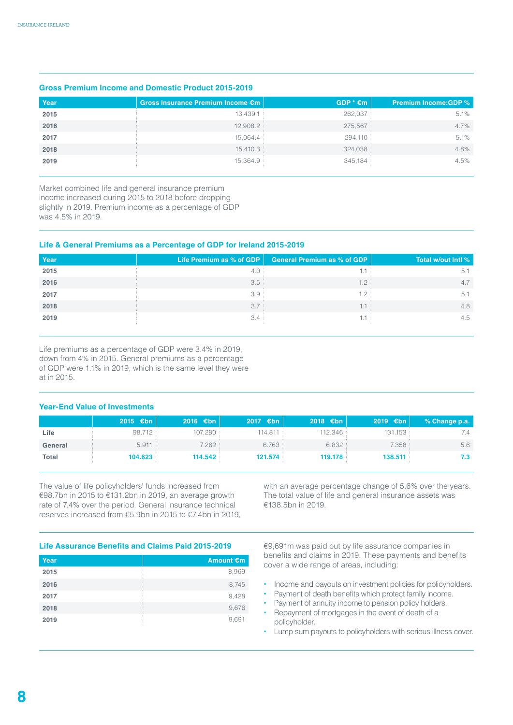### **Gross Premium Income and Domestic Product 2015-2019**

| Year | Gross Insurance Premium Income €m | $GDP * \epsilon m$ | <b>Premium Income:GDP %</b> |
|------|-----------------------------------|--------------------|-----------------------------|
| 2015 | 13,439.1                          | 262,037            | 5.1%                        |
| 2016 | 12,908.2                          | 275,567            | 4.7%                        |
| 2017 | 15,064.4                          | 294,110            | 5.1%                        |
| 2018 | 15,410.3                          | 324,038            | 4.8%                        |
| 2019 | 15,364.9                          | 345,184            | 4.5%                        |

Market combined life and general insurance premium income increased during 2015 to 2018 before dropping slightly in 2019. Premium income as a percentage of GDP was 4.5% in 2019.

### **Life & General Premiums as a Percentage of GDP for Ireland 2015-2019**

| Year | Life Premium as % of GDP $\vert$ | General Premium as % of GDP | Total w/out Intl % |
|------|----------------------------------|-----------------------------|--------------------|
| 2015 |                                  |                             | 5.                 |
| 2016 | 3.5:                             | $1.2$ :                     | 4.7                |
| 2017 | 3.9                              | 1.2                         | 5.1                |
| 2018 | 3.7:                             |                             | 4.8                |
| 2019 | 3.4                              |                             | 4.5                |

Life premiums as a percentage of GDP were 3.4% in 2019, down from 4% in 2015. General premiums as a percentage of GDP were 1.1% in 2019, which is the same level they were at in 2015.

### **Year-End Value of Investments**

|         | 2015 $\epsilon$ bn | $2016$ €bn | $2017$ €bn | 2018 $\epsilon$ bn | 2019 $\epsilon$ bn | % Change p.a. |
|---------|--------------------|------------|------------|--------------------|--------------------|---------------|
| Life    | 98.712 :           | 107.280    | 114.811 :  | 112.346            | 131.153            | 7.4           |
| General | 5.911:             | 7.262:     | 6.763:     | 6.832:             | 7.358              | 5.6           |
| Total   | 104.623            | 114.542    | 121.574    | 119,178            | 138.511            | 7.3           |

The value of life policyholders' funds increased from €98.7bn in 2015 to €131.2bn in 2019, an average growth rate of 7.4% over the period. General insurance technical reserves increased from €5.9bn in 2015 to €7.4bn in 2019, with an average percentage change of 5.6% over the years. The total value of life and general insurance assets was €138.5bn in 2019.

### **Life Assurance Benefits and Claims Paid 2015-2019**

| Year | Amount €m |
|------|-----------|
| 2015 | 8,969     |
| 2016 | 8,745     |
| 2017 | 9,428     |
| 2018 | 9,676     |
| 2019 | 9,691     |

€9,691m was paid out by life assurance companies in benefits and claims in 2019. These payments and benefits cover a wide range of areas, including:

- **•** Income and payouts on investment policies for policyholders.
- **•** Payment of death benefits which protect family income.
- **•** Payment of annuity income to pension policy holders. **•** Repayment of mortgages in the event of death of a
- policyholder.
- **•** Lump sum payouts to policyholders with serious illness cover.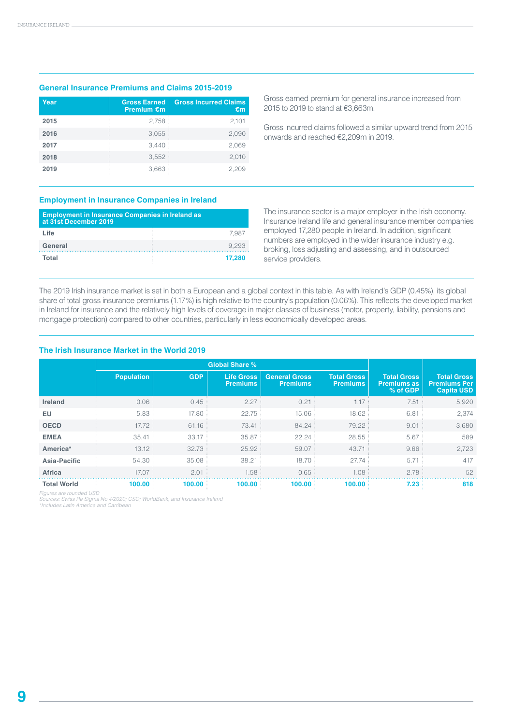### **General Insurance Premiums and Claims 2015-2019**

| Year | <b>Gross Earned</b><br><b>Premium €m</b> | <b>Gross Incurred Claims</b><br>€m |
|------|------------------------------------------|------------------------------------|
| 2015 | 2,758                                    | 2,101                              |
| 2016 | 3,055                                    | 2,090                              |
| 2017 | 3.440                                    | 2,069                              |
| 2018 | 3,552                                    | 2,010                              |
| 2019 | 3,663                                    | 2,209                              |

Gross earned premium for general insurance increased from 2015 to 2019 to stand at €3,663m.

Gross incurred claims followed a similar upward trend from 2015 onwards and reached €2,209m in 2019.

### **Employment in Insurance Companies in Ireland**

| <b>Employment in Insurance Companies in Ireland as</b><br>at 31st December 2019 |        |  |  |
|---------------------------------------------------------------------------------|--------|--|--|
| Life                                                                            | 7.987  |  |  |
| General                                                                         | 9.293  |  |  |
| Total                                                                           | 17.280 |  |  |

The insurance sector is a major employer in the Irish economy. Insurance Ireland life and general insurance member companies employed 17,280 people in Ireland. In addition, significant numbers are employed in the wider insurance industry e.g. broking, loss adjusting and assessing, and in outsourced service providers.

The 2019 Irish insurance market is set in both a European and a global context in this table. As with Ireland's GDP (0.45%), its global share of total gross insurance premiums (1.17%) is high relative to the country's population (0.06%). This reflects the developed market in Ireland for insurance and the relatively high levels of coverage in major classes of business (motor, property, liability, pensions and mortgage protection) compared to other countries, particularly in less economically developed areas.

### **The Irish Insurance Market in the World 2019**

|                    | <b>Global Share %</b> |            |                                      |                                         |                                       |                                                      |                                                                |
|--------------------|-----------------------|------------|--------------------------------------|-----------------------------------------|---------------------------------------|------------------------------------------------------|----------------------------------------------------------------|
|                    | <b>Population</b>     | <b>GDP</b> | <b>Life Gross</b><br><b>Premiums</b> | <b>General Gross</b><br><b>Premiums</b> | <b>Total Gross</b><br><b>Premiums</b> | <b>Total Gross</b><br><b>Premiums as</b><br>% of GDP | <b>Total Gross</b><br><b>Premiums Per</b><br><b>Capita USD</b> |
| <b>Ireland</b>     | 0.06                  | 0.45       | 2.27                                 | 0.21                                    | 1.17                                  | 7.51                                                 | 5,920                                                          |
| EU                 | 5.83                  | 17.80      | 22.75                                | 15.06                                   | 18.62                                 | 6.81                                                 | 2,374                                                          |
| <b>OECD</b>        | 17.72                 | 61.16      | 73.41                                | 84.24                                   | 79.22                                 | 9.01                                                 | 3,680                                                          |
| <b>EMEA</b>        | 35.41                 | 33.17      | 35.87                                | 22.24                                   | 28.55                                 | 5.67                                                 | 589                                                            |
| America*           | 13.12                 | 32.73      | 25.92                                | 59.07                                   | 43.71                                 | 9.66                                                 | 2,723                                                          |
| Asia-Pacific       | 54.30                 | 35.08      | 38.21                                | 18.70                                   | 27.74                                 | 5.71                                                 | 417                                                            |
| <b>Africa</b>      | 17.07                 | 2.01       | 1.58                                 | 0.65                                    | 1.08                                  | 2.78                                                 | 52                                                             |
| <b>Total World</b> | 100.00                | 100.00     | 100.00                               | 100.00                                  | 100.00                                | 7.23                                                 | 818                                                            |

*Figures are rounded USD Sources: Swiss Re Sigma No 4/2020; CSO; WorldBank, and Insurance Ireland \*Includes Latin America and Carribean*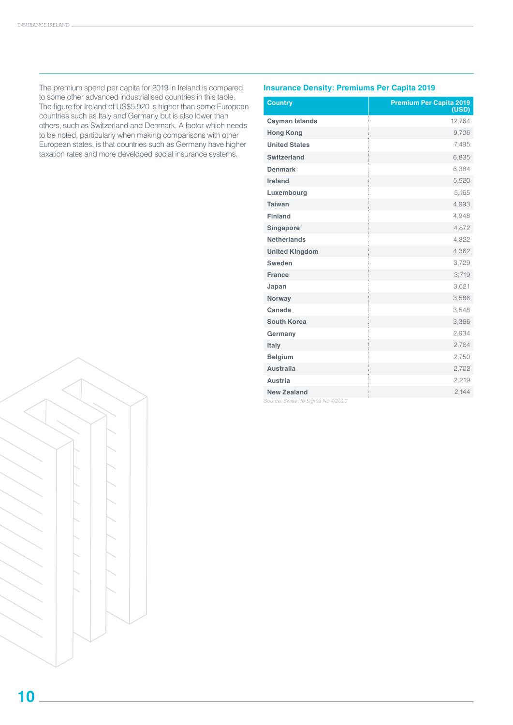The premium spend per capita for 2019 in Ireland is compared to some other advanced industrialised countries in this table. The figure for Ireland of US\$5,920 is higher than some European countries such as Italy and Germany but is also lower than others, such as Switzerland and Denmark. A factor which needs to be noted, particularly when making comparisons with other European states, is that countries such as Germany have higher taxation rates and more developed social insurance systems.

### **Insurance Density: Premiums Per Capita 2019**

| <b>Country</b>                   | <b>Premium Per Capita 2019</b><br>(USD) |
|----------------------------------|-----------------------------------------|
| <b>Cayman Islands</b>            | 12,764                                  |
| <b>Hong Kong</b>                 | 9,706                                   |
| <b>United States</b>             | 7,495                                   |
| Switzerland                      | 6,835                                   |
| <b>Denmark</b>                   | 6,384                                   |
| Ireland                          | 5,920                                   |
| Luxembourg                       | 5,165                                   |
| <b>Taiwan</b>                    | 4,993                                   |
| <b>Finland</b>                   | 4,948                                   |
| Singapore                        | 4,872                                   |
| <b>Netherlands</b>               | 4,822                                   |
| <b>United Kingdom</b>            | 4,362                                   |
| Sweden                           | 3,729                                   |
| <b>France</b>                    | 3,719                                   |
| Japan                            | 3,621                                   |
| Norway                           | 3,586                                   |
| Canada                           | 3,548                                   |
| <b>South Korea</b>               | 3,366                                   |
| Germany                          | 2,934                                   |
| Italy                            | 2,764                                   |
| <b>Belgium</b>                   | 2,750                                   |
| <b>Australia</b>                 | 2,702                                   |
| <b>Austria</b>                   | 2,219                                   |
| <b>New Zealand</b>               | 2,144                                   |
| Source: Swiss Re Sigma No 4/2020 |                                         |



**10**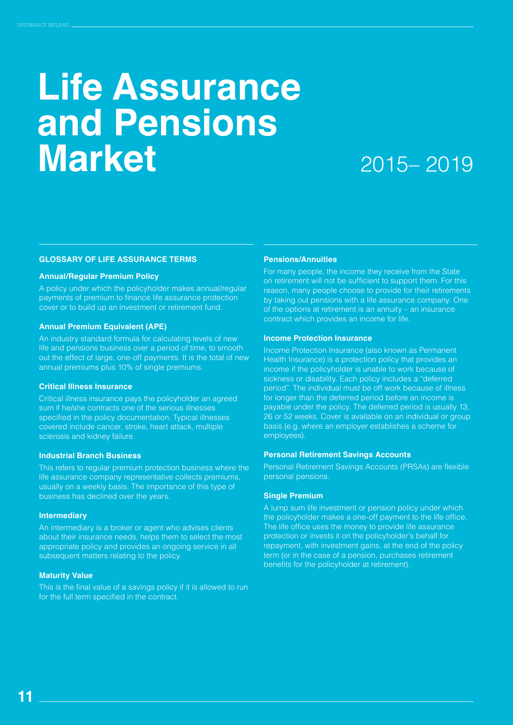## **Life Assurance and Pensions Market**

### 2015– 2019

### **GLOSSARY OF LIFE ASSURANCE TERMS**

### **Annual/Regular Premium Policy**

A policy under which the policyholder makes annual/regular payments of premium to finance life assurance protection cover or to build up an investment or retirement fund.

### **Annual Premium Equivalent (APE)**

An industry standard formula for calculating levels of new life and pensions business over a period of time, to smooth out the effect of large, one-off payments. It is the total of new annual premiums plus 10% of single premiums.

### **Critical Illness Insurance**

Critical illness insurance pays the policyholder an agreed sum if he/she contracts one of the serious illnesses specified in the policy documentation. Typical illnesses covered include cancer, stroke, heart attack, multiple sclerosis and kidney failure.

### **Industrial Branch Business**

This refers to regular premium protection business where the life assurance company representative collects premiums, usually on a weekly basis. The importance of this type of business has declined over the years.

### **Intermediary**

An intermediary is a broker or agent who advises clients about their insurance needs, helps them to select the most appropriate policy and provides an ongoing service in all subsequent matters relating to the policy.

### **Maturity Value**

This is the final value of a savings policy if it is allowed to run for the full term specified in the contract.

### **Pensions/Annuities**

For many people, the income they receive from the State on retirement will not be sufficient to support them. For this reason, many people choose to provide for their retirements by taking out pensions with a life assurance company. One of the options at retirement is an annuity – an insurance contract which provides an income for life.

#### **Income Protection Insurance**

Income Protection Insurance (also known as Permanent Health Insurance) is a protection policy that provides an income if the policyholder is unable to work because of sickness or disability. Each policy includes a "deferred period". The individual must be off work because of illness for longer than the deferred period before an income is payable under the policy. The deferred period is usually 13, 26 or 52 weeks. Cover is available on an individual or group basis (e.g. where an employer establishes a scheme for employees).

### **Personal Retirement Savings Accounts**

Personal Retirement Savings Accounts (PRSAs) are flexible personal pensions.

### **Single Premium**

A lump sum life investment or pension policy under which the policyholder makes a one-off payment to the life office. The life office uses the money to provide life assurance protection or invests it on the policyholder's behalf for repayment, with investment gains, at the end of the policy term (or in the case of a pension, purchases retirement benefits for the policyholder at retirement).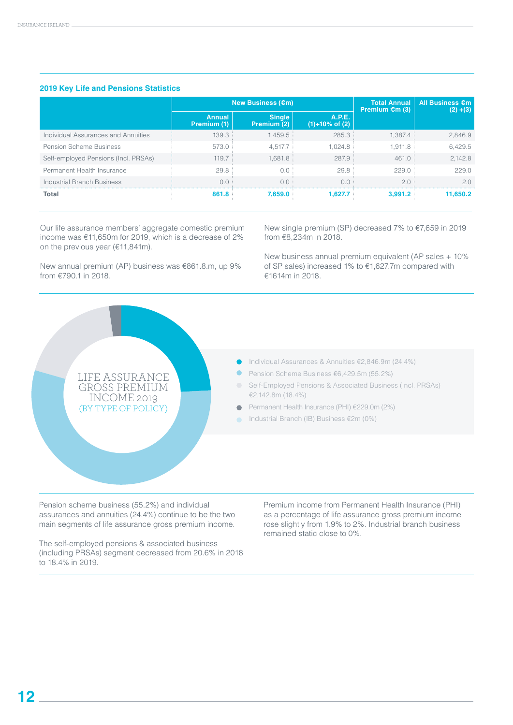### **2019 Key Life and Pensions Statistics**

|                                      |                       | New Business (€m)            | <b>Total Annual</b><br>Premium $\epsilon$ m (3) | <b>All Business €m</b><br>$(2) + (3)$ |          |
|--------------------------------------|-----------------------|------------------------------|-------------------------------------------------|---------------------------------------|----------|
|                                      | Annual<br>Premium (1) | <b>Single</b><br>Premium (2) | A.P.E.<br>$(1) + 10\%$ of $(2)$                 |                                       |          |
| Individual Assurances and Annuities  | 139.3                 | 1,459.5                      | 285.3                                           | $1.387.4$ :                           | 2,846.9  |
| <b>Pension Scheme Business</b>       | 573.0                 | 4.517.7                      | 1.024.8                                         | 1.911.8                               | 6,429.5  |
| Self-employed Pensions (Incl. PRSAs) | 119.7                 | 1.681.8                      | 287.9                                           | 461.0                                 | 2.142.8  |
| Permanent Health Insurance           | 29.8                  | 0.0                          | 29.8                                            | 229.0                                 | 229.0    |
| Industrial Branch Business           | 0.0                   | 0.0                          | $\Omega$                                        | 2.0                                   | 2.0      |
| Total                                | 861.8                 | 7.659.0                      | 1.627.7                                         | 3.991.2                               | 11.650.2 |

Our life assurance members' aggregate domestic premium income was €11,650m for 2019, which is a decrease of 2% on the previous year (€11,841m).

New annual premium (AP) business was €861.8.m, up 9% from €790.1 in 2018.

New single premium (SP) decreased 7% to €7,659 in 2019 from €8,234m in 2018.

New business annual premium equivalent (AP sales + 10% of SP sales) increased 1% to €1,627.7m compared with €1614m in 2018.



Pension scheme business (55.2%) and individual assurances and annuities (24.4%) continue to be the two main segments of life assurance gross premium income.

The self-employed pensions & associated business (including PRSAs) segment decreased from 20.6% in 2018 to 18.4% in 2019.

Premium income from Permanent Health Insurance (PHI) as a percentage of life assurance gross premium income rose slightly from 1.9% to 2%. Industrial branch business remained static close to 0%.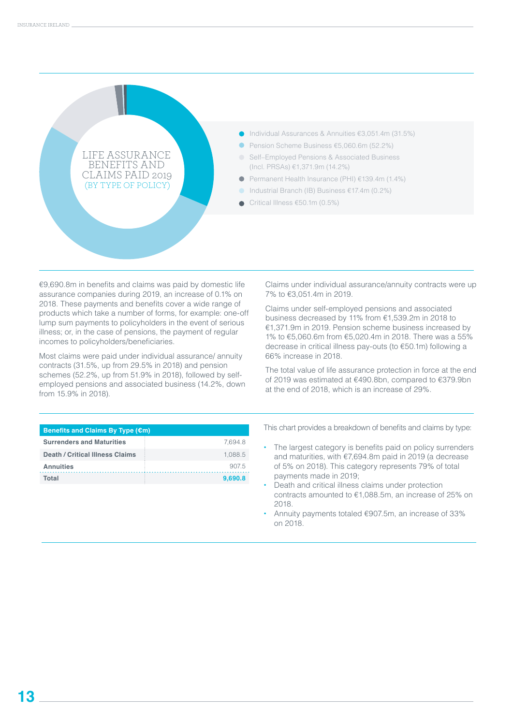

€9,690.8m in benefits and claims was paid by domestic life assurance companies during 2019, an increase of 0.1% on 2018. These payments and benefits cover a wide range of products which take a number of forms, for example: one-off lump sum payments to policyholders in the event of serious illness; or, in the case of pensions, the payment of regular incomes to policyholders/beneficiaries.

Most claims were paid under individual assurance/ annuity contracts (31.5%, up from 29.5% in 2018) and pension schemes (52.2%, up from 51.9% in 2018), followed by selfemployed pensions and associated business (14.2%, down from 15.9% in 2018).

**Surrenders and Maturities 1.694.8 Death / Critical Illness Claims** 1,088.5 Annuities 907.5 Claims under individual assurance/annuity contracts were up 7% to €3,051.4m in 2019.

Claims under self-employed pensions and associated business decreased by 11% from €1,539.2m in 2018 to €1,371.9m in 2019. Pension scheme business increased by 1% to €5,060.6m from €5,020.4m in 2018. There was a 55% decrease in critical illness pay-outs (to €50.1m) following a 66% increase in 2018.

The total value of life assurance protection in force at the end of 2019 was estimated at €490.8bn, compared to €379.9bn at the end of 2018, which is an increase of 29%.

- **•** The largest category is benefits paid on policy surrenders and maturities, with €7,694.8m paid in 2019 (a decrease of 5% on 2018). This category represents 79% of total payments made in 2019;
- **•** Death and critical illness claims under protection contracts amounted to €1,088.5m, an increase of 25% on 2018.
- **•** Annuity payments totaled €907.5m, an increase of 33% on 2018.

| Total |  | 9,690.8 |
|-------|--|---------|
|       |  |         |
|       |  |         |
|       |  |         |
|       |  |         |
|       |  |         |
|       |  |         |
|       |  |         |

**Benefits and Claims By Type (€m)**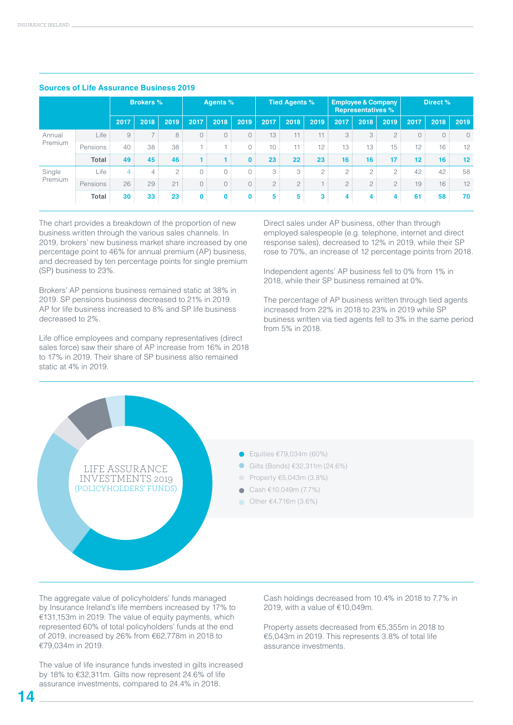|         |              |                 | <b>Brokers %</b> |      |              | <b>Agents %</b> |              |      | <b>Tied Agents %</b> |                |         | <b>Employee &amp; Company</b><br><b>Representatives %</b> |         |         | Direct % |         |
|---------|--------------|-----------------|------------------|------|--------------|-----------------|--------------|------|----------------------|----------------|---------|-----------------------------------------------------------|---------|---------|----------|---------|
|         |              | 2017            | 2018             | 2019 | 2017         | 2018            | 2019         | 2017 | 2018                 | 2019           | 2017    | 2018                                                      | 2019    | 2017    | 2018     | 2019    |
| Annual  | Life         | 9               | 7:               | 8    | 0:           | $\bigcap$       | 0            | 13   |                      |                | 3       | 3                                                         |         | 0:      | 0:       |         |
| Premium | Pensions     | 40              | 38               | 38   |              |                 | 0            | 10   | 11<br>- 1            | 12:            | 13      | 13:                                                       | 15:     | 12      | 16:      | 12      |
|         | <b>Total</b> | 49              | 45               | 46   |              |                 | $\mathbf{0}$ | 23   | 22                   | 23             | 16      | 16                                                        | 17      | $12 \,$ | 16       | $12 \,$ |
| Single  | Life         |                 |                  | 2:   | 0:           | $\Omega$        | $\bigcirc$   | 3    | 3:                   | $\cap$ :       | $\circ$ | 2:                                                        | $\circ$ | 42      | 42       | 58      |
| Premium | Pensions     | 26              | 29               | 21   | 0:           | 0:              | $\circ$      | 2:   | 2:                   |                | 2:      | 2:                                                        | 2:      | 19      | 16:      | 12      |
|         | Total        | 30 <sup>1</sup> | 33               | 23   | $\mathbf{0}$ | $\mathbf{0}$    | $\mathbf{0}$ | 5    | 5                    | 3 <sup>1</sup> |         | 4                                                         | 4       | 61      | 58       | 70      |

### **Sources of Life Assurance Business 2019**

The chart provides a breakdown of the proportion of new business written through the various sales channels. In 2019, brokers' new business market share increased by one percentage point to 46% for annual premium (AP) business, and decreased by ten percentage points for single premium (SP) business to 23%.

Brokers' AP pensions business remained static at 38% in 2019. SP pensions business decreased to 21% in 2019. AP for life business increased to 8% and SP life business decreased to 2%.

Life office employees and company representatives (direct sales force) saw their share of AP increase from 16% in 2018 to 17% in 2019. Their share of SP business also remained static at 4% in 2019.

Direct sales under AP business, other than through employed salespeople (e.g. telephone, internet and direct response sales), decreased to 12% in 2019, while their SP rose to 70%, an increase of 12 percentage points from 2018.

Independent agents' AP business fell to 0% from 1% in 2018, while their SP business remained at 0%.

The percentage of AP business written through tied agents increased from 22% in 2018 to 23% in 2019 while SP business written via tied agents fell to 3% in the same period from 5% in 2018.



The aggregate value of policyholders' funds managed by Insurance Ireland's life members increased by 17% to €131,153m in 2019. The value of equity payments, which represented 60% of total policyholders' funds at the end of 2019, increased by 26% from €62,778m in 2018 to €79,034m in 2019.

The value of life insurance funds invested in gilts increased by 18% to €32,311m. Gilts now represent 24.6% of life assurance investments, compared to 24.4% in 2018.

Cash holdings decreased from 10.4% in 2018 to 7.7% in 2019, with a value of €10,049m.

Property assets decreased from €5,355m in 2018 to €5,043m in 2019. This represents 3.8% of total life assurance investments.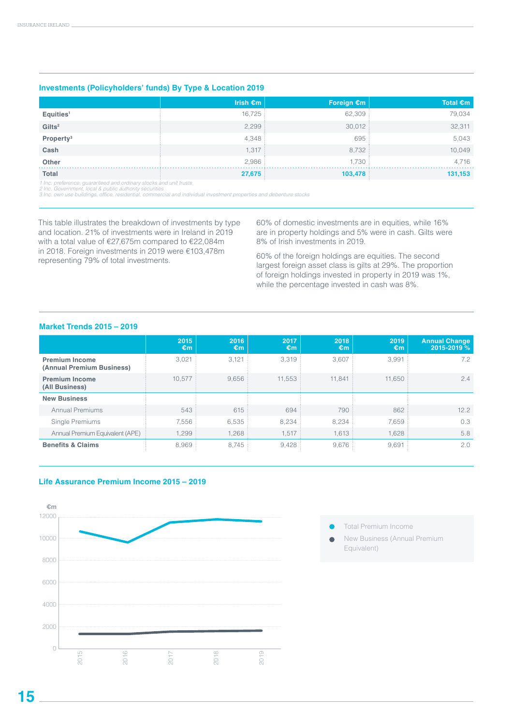### **Investments (Policyholders' funds) By Type & Location 2019**

|                       | Irish $\epsilon$ m | Foreign $\epsilon$ m | Total $\epsilon$ m |
|-----------------------|--------------------|----------------------|--------------------|
| Equities <sup>1</sup> | 16,725:            | 62,309               | 79,034             |
| Gilts <sup>2</sup>    | 2,299              | 30,012               | 32,311             |
| Property <sup>3</sup> | 4,348              | 695                  | 5,043              |
| Cash                  | 1,317              | 8,732                | 10,049             |
| Other                 | 2,986              | 1,730                | 4.716              |
| <b>Total</b>          | 27,675             | 103,478              | 131,153            |

*1 Inc. preference, guaranteed and ordinary stocks and unit trusts 2 Inc. Government, local & public authority securities*

3 Inc. own use buildings, office, residential, commercial and individual investment properties and debenture stocks

This table illustrates the breakdown of investments by type and location. 21% of investments were in Ireland in 2019 with a total value of €27,675m compared to €22,084m in 2018. Foreign investments in 2019 were €103,478m representing 79% of total investments.

60% of domestic investments are in equities, while 16% are in property holdings and 5% were in cash. Gilts were 8% of Irish investments in 2019.

60% of the foreign holdings are equities. The second largest foreign asset class is gilts at 29%. The proportion of foreign holdings invested in property in 2019 was 1%, while the percentage invested in cash was 8%.

### **Market Trends 2015 – 2019**

|                                                    | 2015<br>€m | 2016<br>€m | 2017<br>€m | 2018<br>€m | 2019<br>€m | <b>Annual Change</b><br>2015-2019 % |
|----------------------------------------------------|------------|------------|------------|------------|------------|-------------------------------------|
| <b>Premium Income</b><br>(Annual Premium Business) | 3,021      | 3,121      | 3,319      | 3,607      | 3,991      | 7.2                                 |
| <b>Premium Income</b><br>(All Business)            | 10.577     | 9.656      | 11.553     | 11.841     | 11,650     | 2.4                                 |
| <b>New Business</b>                                |            |            |            |            |            |                                     |
| <b>Annual Premiums</b>                             | 543        | 615        | 694        | 790        | 862        | 12.2                                |
| Single Premiums                                    | 7,556      | 6,535      | 8,234      | 8,234      | 7,659      | 0.3                                 |
| Annual Premium Equivalent (APE)                    | 1,299      | 1,268      | 1,517      | 1,613      | 1,628      | 5.8                                 |
| <b>Benefits &amp; Claims</b>                       | 8,969      | 8,745      | 9,428      | 9,676      | 9,691      | 2.0                                 |

### **Life Assurance Premium Income 2015 – 2019**



- Total Premium Income
- New Business (Annual Premium  $\bullet$ Equivalent)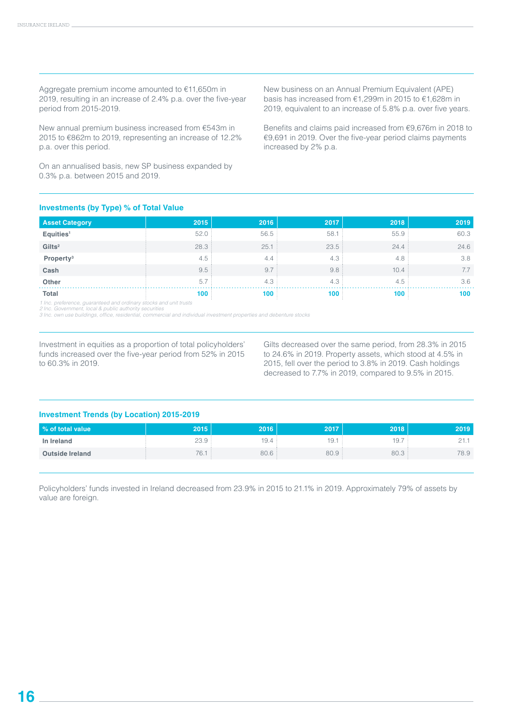Aggregate premium income amounted to €11,650m in 2019, resulting in an increase of 2.4% p.a. over the five-year period from 2015-2019.

New annual premium business increased from €543m in 2015 to €862m to 2019, representing an increase of 12.2% p.a. over this period.

On an annualised basis, new SP business expanded by 0.3% p.a. between 2015 and 2019.

New business on an Annual Premium Equivalent (APE) basis has increased from €1,299m in 2015 to €1,628m in 2019, equivalent to an increase of 5.8% p.a. over five years.

Benefits and claims paid increased from €9,676m in 2018 to €9,691 in 2019. Over the five-year period claims payments increased by 2% p.a.

### **Investments (by Type) % of Total Value**

| <b>Asset Category</b> | 2015  | 2016  | 2017  | 2018  | 2019 |
|-----------------------|-------|-------|-------|-------|------|
| Equities <sup>1</sup> | 52.0  | 56.5: | 58.1  | 55.9: | 60.3 |
| Gilts <sup>2</sup>    | 28.3: | 25.1: | 23.5: | 24.4: | 24.6 |
| Property <sup>3</sup> | 4.5   | 4.4   | 4.3   | 4.8   | 3.8  |
| Cash                  | 9.5:  | 9.7   | 9.8   | 10.4  | 7.7  |
| Other                 | 5.7   | 4.3   | 4.3   | 4.5   | 3.6  |
| <b>Total</b>          | 100   | 100   | 100   | 100   | 100  |

1 Inc. preference, guaranteed and ordinary stocks and unit trusts<br>2 Inc. Government, local & public authority securities<br>3 Inc. own use buildings, office, residential, commercial and individual investment properties and de

Investment in equities as a proportion of total policyholders' funds increased over the five-year period from 52% in 2015 to 60.3% in 2019.

Gilts decreased over the same period, from 28.3% in 2015 to 24.6% in 2019. Property assets, which stood at 4.5% in 2015, fell over the period to 3.8% in 2019. Cash holdings decreased to 7.7% in 2019, compared to 9.5% in 2015.

### **Investment Trends (by Location) 2015-2019**

| % of total value       | 2015                           | 2016 | 2017 | 2018 | 2019 |
|------------------------|--------------------------------|------|------|------|------|
| In Ireland             | 23.9                           | 9.4  | 19.7 | 19.  |      |
| <b>Outside Ireland</b> | $\overline{\phantom{a}}$<br>6. | 80.6 | 80.9 | 80.3 | 78.9 |

Policyholders' funds invested in Ireland decreased from 23.9% in 2015 to 21.1% in 2019. Approximately 79% of assets by value are foreign.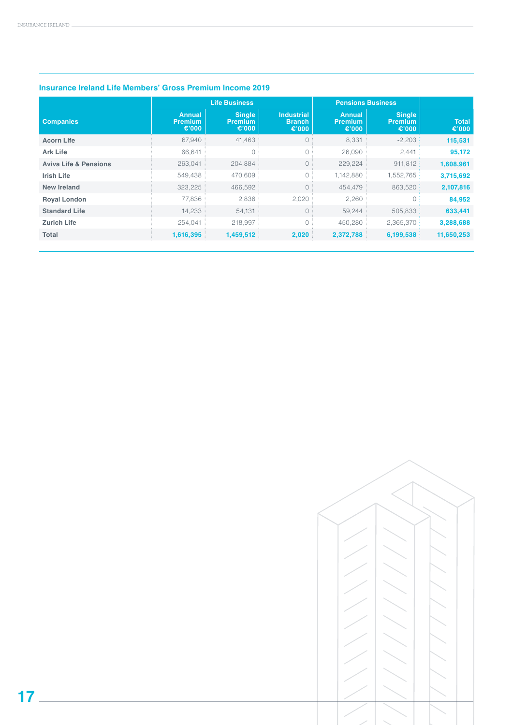|                                  | <b>Life Business</b>                        |                                          |                                                       | <b>Pensions Business</b>                 |                                          |                       |
|----------------------------------|---------------------------------------------|------------------------------------------|-------------------------------------------------------|------------------------------------------|------------------------------------------|-----------------------|
| <b>Companies</b>                 | <b>Annual</b><br><b>Premium</b><br>€ $'000$ | <b>Single</b><br><b>Premium</b><br>€'000 | <b>Industrial</b><br><b>Branch</b><br>€ $^{\circ}000$ | <b>Annual</b><br><b>Premium</b><br>€'000 | <b>Single</b><br><b>Premium</b><br>€'000 | <b>Total</b><br>€'000 |
| <b>Acorn Life</b>                | 67,940                                      | 41,463                                   | $\circ$                                               | 8,331                                    | $-2,203:$                                | 115,531               |
| <b>Ark Life</b>                  | 66.641                                      | 0                                        | 0                                                     | 26,090                                   | 2,441:                                   | 95,172                |
| <b>Aviva Life &amp; Pensions</b> | 263,041                                     | 204,884                                  | $\circ$                                               | 229,224                                  | 911,812:                                 | 1,608,961             |
| <b>Irish Life</b>                | 549,438                                     | 470,609                                  | $\circ$                                               | 1,142,880                                | 1,552,765:                               | 3,715,692             |
| <b>New Ireland</b>               | 323,225                                     | 466.592                                  | $\circ$                                               | 454.479                                  | 863,520:                                 | 2,107,816             |
| <b>Royal London</b>              | 77.836                                      | 2,836                                    | 2,020                                                 | 2,260                                    | $\bigcirc$                               | 84,952                |
| <b>Standard Life</b>             | 14,233                                      | 54,131                                   | $\circ$                                               | 59,244                                   | 505,833:                                 | 633,441               |
| <b>Zurich Life</b>               | 254,041                                     | 218,997                                  | $\circ$                                               | 450,280                                  | 2,365,370:                               | 3,288,688             |
| Total                            | 1,616,395                                   | 1,459,512                                | 2,020                                                 | 2,372,788                                | 6,199,538                                | 11,650,253            |

### **Insurance Ireland Life Members' Gross Premium Income 2019**

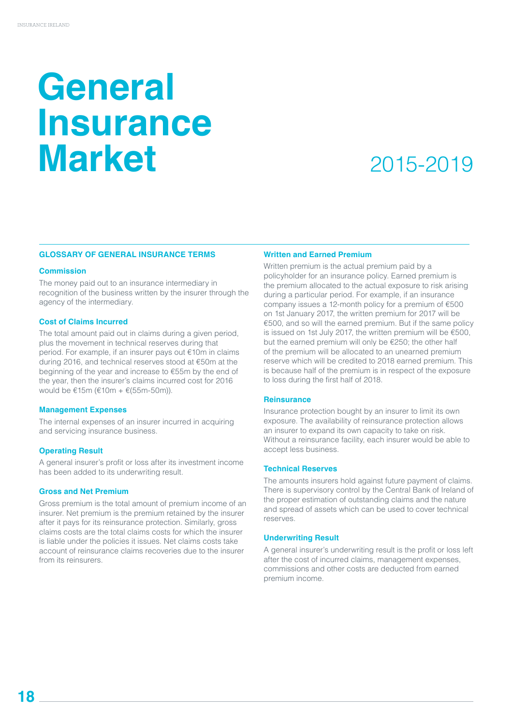# **General Insurance Market**

### 2015-2019

### **GLOSSARY OF GENERAL INSURANCE TERMS**

### **Commission**

The money paid out to an insurance intermediary in recognition of the business written by the insurer through the agency of the intermediary.

### **Cost of Claims Incurred**

The total amount paid out in claims during a given period, plus the movement in technical reserves during that period. For example, if an insurer pays out €10m in claims during 2016, and technical reserves stood at €50m at the beginning of the year and increase to €55m by the end of the year, then the insurer's claims incurred cost for 2016 would be €15m (€10m + €(55m-50m)).

### **Management Expenses**

The internal expenses of an insurer incurred in acquiring and servicing insurance business.

### **Operating Result**

A general insurer's profit or loss after its investment income has been added to its underwriting result.

### **Gross and Net Premium**

Gross premium is the total amount of premium income of an insurer. Net premium is the premium retained by the insurer after it pays for its reinsurance protection. Similarly, gross claims costs are the total claims costs for which the insurer is liable under the policies it issues. Net claims costs take account of reinsurance claims recoveries due to the insurer from its reinsurers.

### **Written and Earned Premium**

Written premium is the actual premium paid by a policyholder for an insurance policy. Earned premium is the premium allocated to the actual exposure to risk arising during a particular period. For example, if an insurance company issues a 12-month policy for a premium of €500 on 1st January 2017, the written premium for 2017 will be €500, and so will the earned premium. But if the same policy is issued on 1st July 2017, the written premium will be €500, but the earned premium will only be €250; the other half of the premium will be allocated to an unearned premium reserve which will be credited to 2018 earned premium. This is because half of the premium is in respect of the exposure to loss during the first half of 2018.

### **Reinsurance**

Insurance protection bought by an insurer to limit its own exposure. The availability of reinsurance protection allows an insurer to expand its own capacity to take on risk. Without a reinsurance facility, each insurer would be able to accept less business.

### **Technical Reserves**

The amounts insurers hold against future payment of claims. There is supervisory control by the Central Bank of Ireland of the proper estimation of outstanding claims and the nature and spread of assets which can be used to cover technical reserves.

### **Underwriting Result**

A general insurer's underwriting result is the profit or loss left after the cost of incurred claims, management expenses, commissions and other costs are deducted from earned premium income.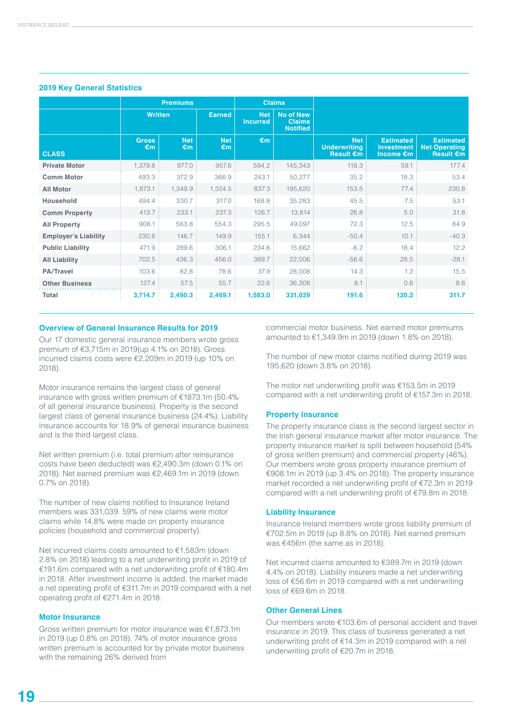|                             |                    | <b>Premiums</b>  |                  |                               | <b>Claims</b>                                        |                                                       |                                                    |                                                              |
|-----------------------------|--------------------|------------------|------------------|-------------------------------|------------------------------------------------------|-------------------------------------------------------|----------------------------------------------------|--------------------------------------------------------------|
|                             | <b>Written</b>     |                  | <b>Earned</b>    | <b>Net</b><br><b>Incurred</b> | <b>No of New</b><br><b>Claims</b><br><b>Notified</b> |                                                       |                                                    |                                                              |
| <b>CLASS</b>                | <b>Gross</b><br>€m | <b>Net</b><br>€m | <b>Net</b><br>€m | €m                            |                                                      | <b>Net</b><br><b>Underwriting</b><br><b>Result €m</b> | <b>Estimated</b><br><b>Investment</b><br>Income €m | <b>Estimated</b><br><b>Net Operating</b><br><b>Result €m</b> |
| <b>Private Motor</b>        | 1,379.8            | 977.0            | 957.6            | 594.2                         | 145,343                                              | 118.3                                                 | 59.1                                               | 177.4                                                        |
| <b>Comm Motor</b>           | 493.3              | 372.9            | 366.9            | 243.1                         | 50,277                                               | 35.2                                                  | 18.3                                               | 53.4                                                         |
| <b>All Motor</b>            | 1,873.1            | 1,349.9          | 1,324.5          | 837.3                         | 195,620                                              | 153.5                                                 | 77.4                                               | 230.8                                                        |
| <b>Household</b>            | 494.4              | 330.7            | 317.0            | 168.8                         | 35,283                                               | 45.5                                                  | 7.5                                                | 53.1                                                         |
| <b>Comm Property</b>        | 413.7              | 233.1            | 237.3            | 126.7                         | 13,814                                               | 26.8                                                  | 5.0                                                | 31.8                                                         |
| <b>All Property</b>         | 908.1              | 563.8            | 554.3            | 295.5                         | 49,097                                               | 72.3                                                  | 12.5                                               | 84.9                                                         |
| <b>Employer's Liability</b> | 230.6              | 146.7            | 149.9            | 155.1                         | 6,344                                                | $-50.4$                                               | 10.1                                               | $-40.3$                                                      |
| <b>Public Liability</b>     | 471.9              | 289.6            | 306.1            | 234.6                         | 15,662                                               | $-6.2$                                                | 18.4                                               | 12.2                                                         |
| <b>All Liability</b>        | 702.5              | 436.3            | 456.0            | 389.7                         | 22,006                                               | $-56.6$                                               | 28.5                                               | $-28.1$                                                      |
| <b>PA/Travel</b>            | 103.6              | 82.8             | 78.6             | 37.9                          | 28,008                                               | 14.3                                                  | 1.2                                                | 15.5                                                         |
| <b>Other Business</b>       | 127.4              | 57.5             | 55.7             | 22.6                          | 36,308                                               | 8.1                                                   | 0.6                                                | 8.6                                                          |
| <b>Total</b>                | 3,714.7            | 2,490.3          | 2,469.1          | 1,583.0                       | 331,039                                              | 191.6                                                 | 120.2                                              | 311.7                                                        |

### **2019 Key General Statistics**

### **Overview of General Insurance Results for 2019**

Our 17 domestic general insurance members wrote gross premium of €3,715m in 2019(up 4.1% on 2018). Gross incurred claims costs were €2,209m in 2019 (up 10% on 2018).

Motor insurance remains the largest class of general insurance with gross written premium of €1873.1m (50.4% of all general insurance business). Property is the second largest class of general insurance business (24.4%). Liability insurance accounts for 18.9% of general insurance business and is the third largest class.

Net written premium (i.e. total premium after reinsurance costs have been deducted) was €2,490.3m (down 0.1% on 2018). Net earned premium was €2,469.1m in 2019 (down 0.7% on 2018).

The number of new claims notified to Insurance Ireland members was 331,039. 59% of new claims were motor claims while 14.8% were made on property insurance policies (household and commercial property).

Net incurred claims costs amounted to €1,583m (down 2.8% on 2018) leading to a net underwriting profit in 2019 of €191.6m compared with a net underwriting profit of €180.4m in 2018. After investment income is added, the market made a net operating profit of €311.7m in 2019 compared with a net operating profit of €271.4m in 2018.

### **Motor Insurance**

Gross written premium for motor insurance was €1,873.1m in 2019 (up 0.8% on 2018). 74% of motor insurance gross written premium is accounted for by private motor business with the remaining 26% derived from

commercial motor business. Net earned motor premiums amounted to €1,349.9m in 2019 (down 1.8% on 2018).

The number of new motor claims notified during 2019 was 195,620 (down 3.8% on 2018).

The motor net underwriting profit was €153.5m in 2019 compared with a net underwriting profit of €157.3m in 2018.

### **Property Insurance**

The property insurance class is the second largest sector in the Irish general insurance market after motor insurance. The property insurance market is split between household (54% of gross written premium) and commercial property (46%). Our members wrote gross property insurance premium of €908.1m in 2019 (up 3.4% on 2018). The property insurance market recorded a net underwriting profit of €72.3m in 2019 compared with a net underwriting profit of €79.8m in 2018.

### **Liability Insurance**

Insurance Ireland members wrote gross liability premium of €702.5m in 2019 (up 8.8% on 2018). Net earned premium was €456m (the same as in 2018).

Net incurred claims amounted to €389.7m in 2019 (down 4.4% on 2018). Liability insurers made a net underwriting loss of €56.6m in 2019 compared with a net underwriting loss of €69.6m in 2018.

### **Other General Lines**

Our members wrote €103.6m of personal accident and travel insurance in 2019. This class of business generated a net underwriting profit of €14.3m in 2019 compared with a net underwriting profit of €20.7m in 2018.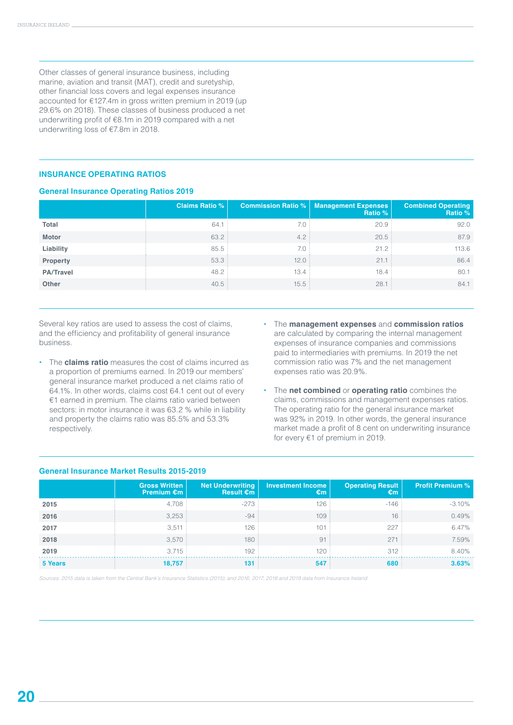Other classes of general insurance business, including marine, aviation and transit (MAT), credit and suretyship, other financial loss covers and legal expenses insurance accounted for €127.4m in gross written premium in 2019 (up 29.6% on 2018). These classes of business produced a net underwriting profit of €8.1m in 2019 compared with a net underwriting loss of €7.8m in 2018.

### **INSURANCE OPERATING RATIOS**

### **General Insurance Operating Ratios 2019**

|                  | <b>Claims Ratio %</b> | <b>Commission Ratio %</b> | Management Expenses<br>Ratio % | <b>Combined Operating</b><br>Ratio % |
|------------------|-----------------------|---------------------------|--------------------------------|--------------------------------------|
| Total            | 64.1                  | 7.0:                      | 20.9                           | 92.0                                 |
| Motor            | 63.2:                 | 4.2:                      | 20.5                           | 87.9                                 |
| Liability        | 85.5                  | 7.0                       | 21.2                           | 113.6                                |
| Property         | 53.3                  | 12.0                      | 21.1                           | 86.4                                 |
| <b>PA/Travel</b> | 48.2                  | 13.4                      | 18.4                           | 80.1                                 |
| <b>Other</b>     | 40.5                  | 15.5:                     | 28.1                           | 84.1                                 |

Several key ratios are used to assess the cost of claims, and the efficiency and profitability of general insurance business.

- **•** The **claims ratio** measures the cost of claims incurred as a proportion of premiums earned. In 2019 our members' general insurance market produced a net claims ratio of 64.1%. In other words, claims cost 64.1 cent out of every €1 earned in premium. The claims ratio varied between sectors: in motor insurance it was 63.2 % while in liability and property the claims ratio was 85.5% and 53.3% respectively.
- **•** The **management expenses** and **commission ratios** are calculated by comparing the internal management expenses of insurance companies and commissions paid to intermediaries with premiums. In 2019 the net commission ratio was 7% and the net management expenses ratio was 20.9%.
- **•** The **net combined** or **operating ratio** combines the claims, commissions and management expenses ratios. The operating ratio for the general insurance market was 92% in 2019. In other words, the general insurance market made a profit of 8 cent on underwriting insurance for every €1 of premium in 2019.

|         | <b>Gross Written</b><br>Premium $\epsilon$ m | <b>Net Underwriting</b><br>Result $\epsilon$ m | <b>Investment Income</b><br>€m | <b>Operating Result</b><br>€m | <b>Profit Premium %</b> |
|---------|----------------------------------------------|------------------------------------------------|--------------------------------|-------------------------------|-------------------------|
| 2015    | 4,708                                        | -273                                           | 126                            | $-146$                        | $-3.10%$                |
| 2016    | 3,253                                        | $-94$                                          | 109                            | 16                            | 0.49%                   |
| 2017    | 3,511                                        | 126                                            | 101                            | 227                           | 6.47%                   |
| 2018    | 3,570                                        | 180                                            | 91                             | 271                           | 7.59%                   |
| 2019    | 3.715                                        | 192                                            | 120:                           | 312                           | 8.40%                   |
| 5 Years | 18,757                                       | 131                                            | 547                            | 680                           | 3.63%                   |

### **General Insurance Market Results 2015-2019**

*Sources: 2015 data is taken from the Central Bank's Insurance Statistics (2015); and 2016, 2017, 2018 and 2019 data from Insurance Ireland*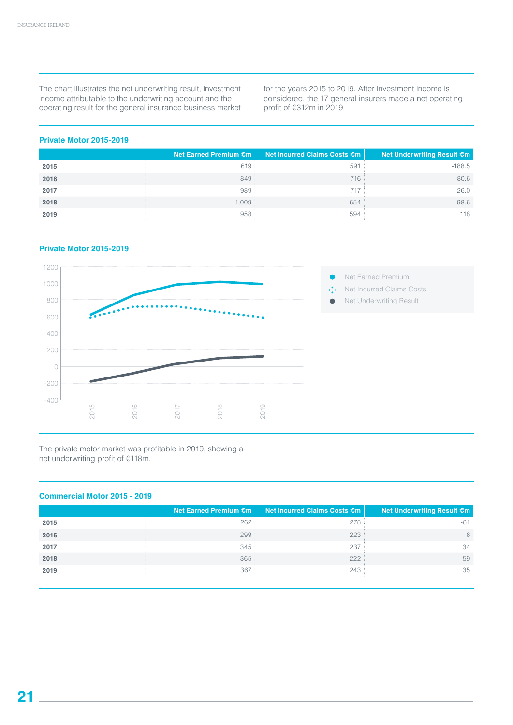The chart illustrates the net underwriting result, investment income attributable to the underwriting account and the operating result for the general insurance business market for the years 2015 to 2019. After investment income is considered, the 17 general insurers made a net operating profit of €312m in 2019.

### **Private Motor 2015-2019**

|      | Net Earned Premium €m | Net Incurred Claims Costs €m | Net Underwriting Result €m |
|------|-----------------------|------------------------------|----------------------------|
| 2015 | 619                   | 591                          | $-188.5$                   |
| 2016 | 849                   | 716                          | $-80.6$                    |
| 2017 | 989                   | 717                          | 26.0                       |
| 2018 | 1,009                 | 654                          | 98.6                       |
| 2019 | 958                   | 594                          | 118                        |

### **Private Motor 2015-2019**



The private motor market was profitable in 2019, showing a net underwriting profit of €118m.

### **Commercial Motor 2015 - 2019**

|      | Net Earned Premium €m | Net Incurred Claims Costs €m | <b>Net Underwriting Result €m</b> |
|------|-----------------------|------------------------------|-----------------------------------|
| 2015 | 262                   | 278                          | $-81$                             |
| 2016 | 299:                  | 223:                         | 6                                 |
| 2017 | 345                   | 237                          | 34                                |
| 2018 | 365:                  | 222                          | 59                                |
| 2019 | 367                   | 243                          | 35                                |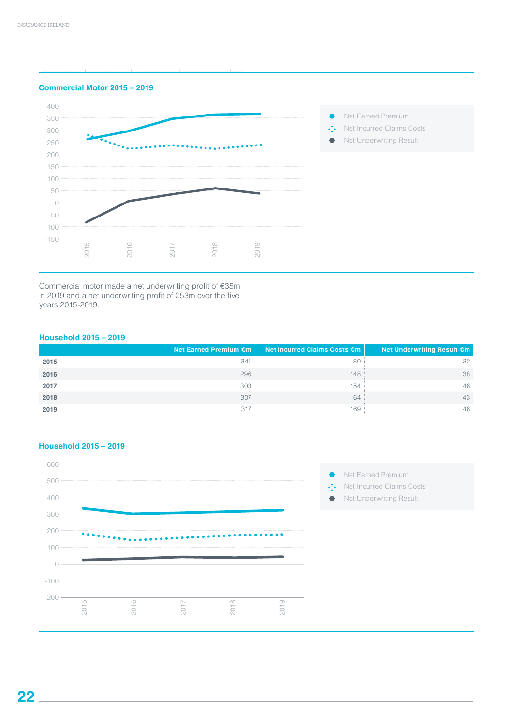



Commercial motor made a net underwriting profit of €35m in 2019 and a net underwriting profit of €53m over the five years 2015-2019.

### **Household 2015 – 2019**

|      | Net Earned Premium €m | Net Incurred Claims Costs €m | Net Underwriting Result €m |
|------|-----------------------|------------------------------|----------------------------|
| 2015 | 341                   | 180                          | 32                         |
| 2016 | 296                   | 148:                         | 38                         |
| 2017 | 303                   | 154                          | 46                         |
| 2018 | 307:                  | 164                          | 43                         |
| 2019 | 317                   | 169                          | 46                         |



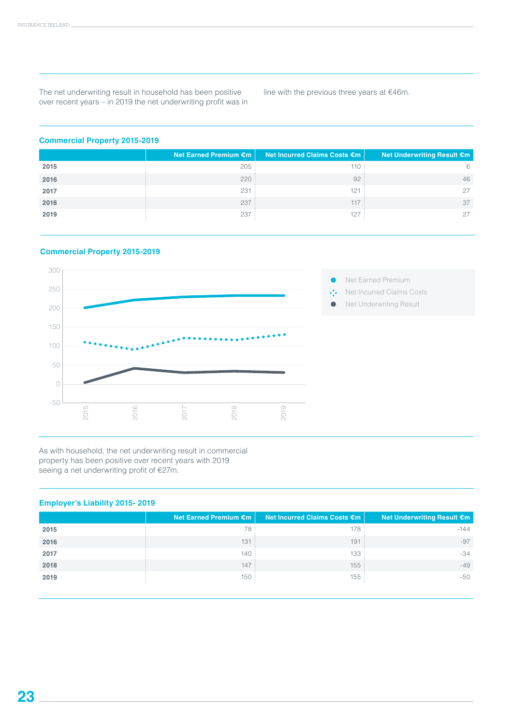The net underwriting result in household has been positive over recent years – in 2019 the net underwriting profit was in

line with the previous three years at €46m.

### **Commercial Property 2015-2019**

|      | Net Earned Premium €m | Net Incurred Claims Costs €m | Net Underwriting Result €m |
|------|-----------------------|------------------------------|----------------------------|
| 2015 | 205                   | 110                          |                            |
| 2016 | 220:                  | 92                           | 46                         |
| 2017 | 231                   | 121                          | 27                         |
| 2018 | 237                   | 117                          | 37                         |
| 2019 | 237                   | 127                          | 27                         |

### **Commercial Property 2015-2019**



As with household, the net underwriting result in commercial property has been positive over recent years with 2019 seeing a net underwriting profit of €27m.

### **Employer's Liability 2015- 2019**

|      | Net Earned Premium €m | Net Incurred Claims Costs €m | Net Underwriting Result €m |
|------|-----------------------|------------------------------|----------------------------|
| 2015 | 78                    | 178                          | $-144$                     |
| 2016 | 131                   | 191                          | $-97$                      |
| 2017 | 140                   | 133                          | $-34$                      |
| 2018 | 147                   | 155:                         | $-49$                      |
| 2019 | 150                   | 155                          | -50                        |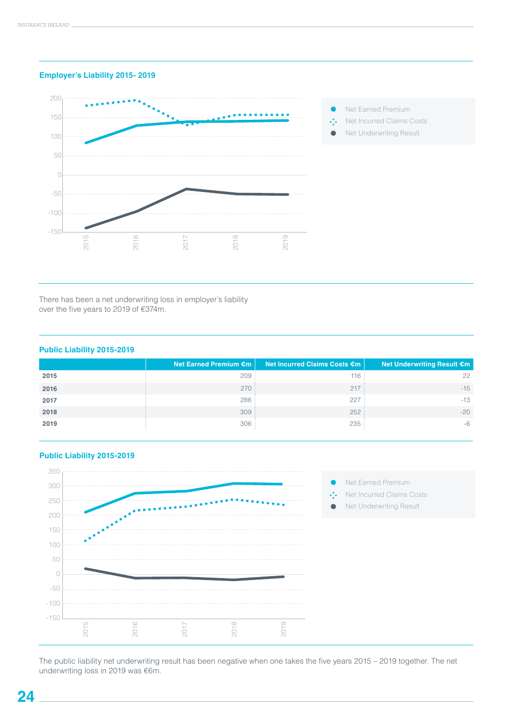### **Employer's Liability 2015- 2019**



- $\bullet$ Net Earned Premium
- $\ddot{\cdot}$ Net Incurred Claims Costs
- Net Underwriting Result  $\bullet$

There has been a net underwriting loss in employer's liability over the five years to 2019 of €374m.

### **Public Liability 2015-2019**

|      | Net Earned Premium €m | <b>Net Incurred Claims Costs €m</b> | Net Underwriting Result €m |
|------|-----------------------|-------------------------------------|----------------------------|
| 2015 | 209                   | 116                                 | 22                         |
| 2016 | 270:                  | 217                                 | $-15$                      |
| 2017 | 286                   | 227                                 | $-13$                      |
| 2018 | 309:                  | 252:                                | $-20$                      |
| 2019 | 306                   | 235                                 | $-6$                       |



### **Public Liability 2015-2019**

The public liability net underwriting result has been negative when one takes the five years 2015 – 2019 together. The net underwriting loss in 2019 was €6m.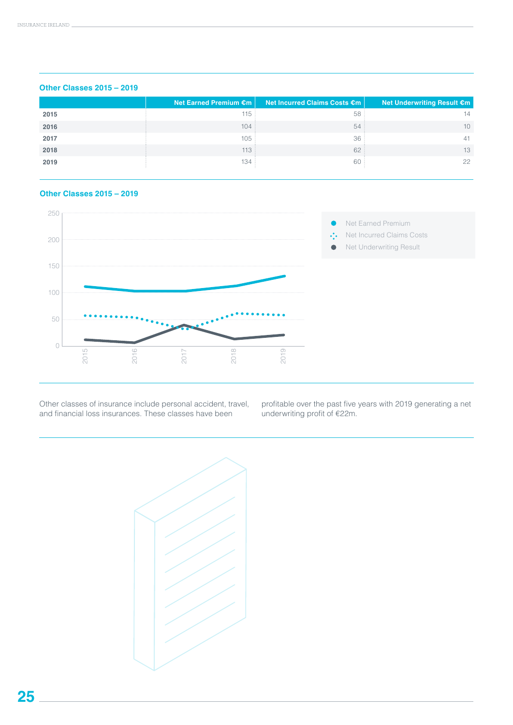|      | Net Earned Premium $\epsilon$ m | Net Incurred Claims Costs €m | Net Underwriting Result €m |
|------|---------------------------------|------------------------------|----------------------------|
| 2015 | 115:                            | 58                           | 14                         |
| 2016 | 104:                            | 54                           | 10                         |
| 2017 | 105                             | 36                           | 41                         |
| 2018 | 113:                            | 62                           | 13                         |
| 2019 | 134:                            | 60                           | 22                         |

### **Other Classes 2015 – 2019**

### **Other Classes 2015 – 2019**



Other classes of insurance include personal accident, travel, and financial loss insurances. These classes have been

profitable over the past five years with 2019 generating a net underwriting profit of €22m.

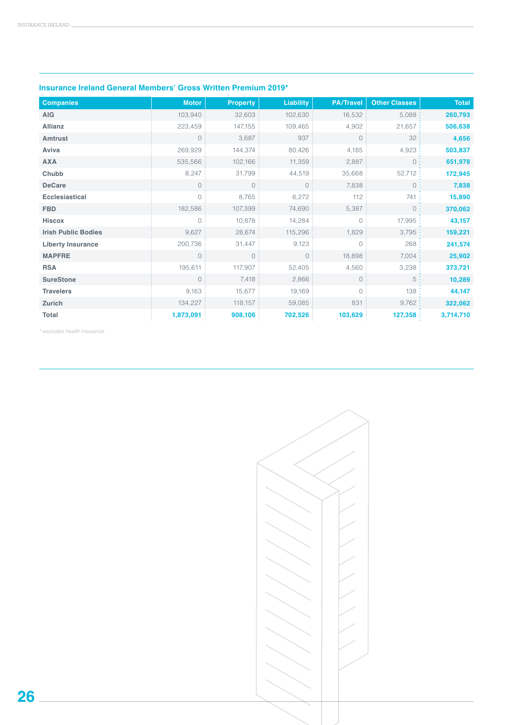| <b>Companies</b>           | <b>Motor</b>   | <b>Property</b> | <b>Liability</b> | <b>PA/Travel</b> | <b>Other Classes</b> | <b>Total</b> |
|----------------------------|----------------|-----------------|------------------|------------------|----------------------|--------------|
| <b>AIG</b>                 | 103,940        | 32,603          | 102,630          | 16,532           | 5,088                | 260,793      |
| <b>Allianz</b>             | 223,459        | 147,155         | 109,465          | 4,902            | 21,657               | 506,638      |
| <b>Amtrust</b>             | $\circ$        | 3,687           | 937              | $\circ$          | 32                   | 4,656        |
| Aviva                      | 269,929        | 144,374         | 80,426           | 4,185            | 4,923                | 503,837      |
| <b>AXA</b>                 | 535,566        | 102,166         | 11,359           | 2,887            | $0 \cdot$            | 651,978      |
| Chubb                      | 8,247          | 31,799          | 44,519           | 35,668           | 52,712:              | 172,945      |
| <b>DeCare</b>              | $\circ$        | $\circ$         | $\circ$          | 7,838            | 0:                   | 7,838        |
| <b>Ecclesiastical</b>      | $\circ$        | 8,765           | 6,272            | 112              | 741                  | 15,890       |
| <b>FBD</b>                 | 182,586        | 107,399         | 74,690           | 5,387            | 0:                   | 370,062      |
| Hiscox                     | $\bigcirc$     | 10,878          | 14,284           | $\bigcirc$       | 17,995:              | 43,157       |
| <b>Irish Public Bodies</b> | 9,627          | 28,674          | 115,296          | 1,829            | 3,795:               | 159,221      |
| <b>Liberty Insurance</b>   | 200,736        | 31,447          | 9,123            | $\circ$          | 268:                 | 241,574      |
| <b>MAPFRE</b>              | $\overline{0}$ | $\circ$         | $\circ$          | 18,898           | 7,004:               | 25,902       |
| <b>RSA</b>                 | 195,611        | 117,907         | 52,405           | 4,560            | 3,238:               | 373,721      |
| <b>SureStone</b>           | $\overline{0}$ | 7,418           | 2,866            | $\circ$          | 5:                   | 10,289       |
| <b>Travelers</b>           | 9,163          | 15,677          | 19,169           | $\overline{0}$   | 138:                 | 44,147       |
| Zurich                     | 134,227        | 118,157         | 59,085           | 831              | 9,762:               | 322,062      |
| Total                      | 1,873,091      | 908,106         | 702,526          | 103,629          | 127,358:             | 3,714,710    |

### **Insurance Ireland General Members' Gross Written Premium 2019\***

*\* excludes health insurance*

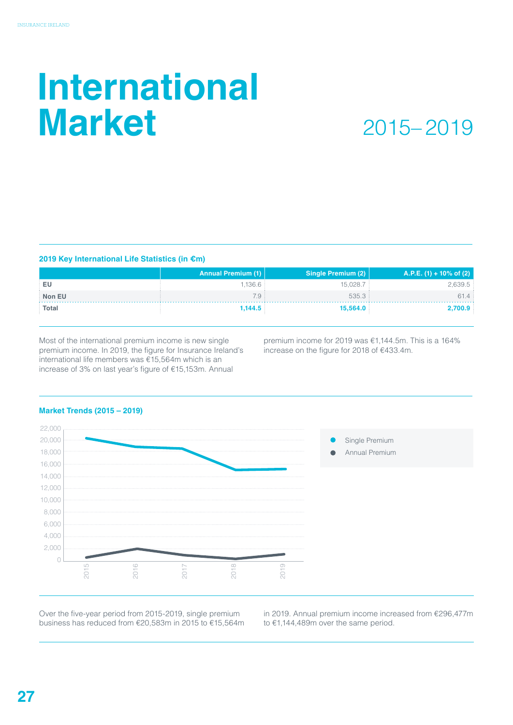# **International Market**

### 2015– 2019

### **2019 Key International Life Statistics (in €m)**

|              | <b>Annual Premium (1)</b> | Single Premium (2) | A.P.E. (1) + 10% of (2) |
|--------------|---------------------------|--------------------|-------------------------|
| ⊹ EU         | 1.136.6                   | 15,028.7           | 2,639.5                 |
| Non EU       | 7.9 :                     | 535.3:             | 61.4:                   |
| <b>Total</b> | 1,144.5                   | 15,564.0           | 2,700.9                 |

Most of the international premium income is new single premium income. In 2019, the figure for Insurance Ireland's international life members was €15,564m which is an increase of 3% on last year's figure of €15,153m. Annual

premium income for 2019 was €1,144.5m. This is a 164% increase on the figure for 2018 of €433.4m.

### **Market Trends (2015 – 2019)**



Over the five-year period from 2015-2019, single premium business has reduced from €20,583m in 2015 to €15,564m in 2019. Annual premium income increased from €296,477m to €1,144,489m over the same period.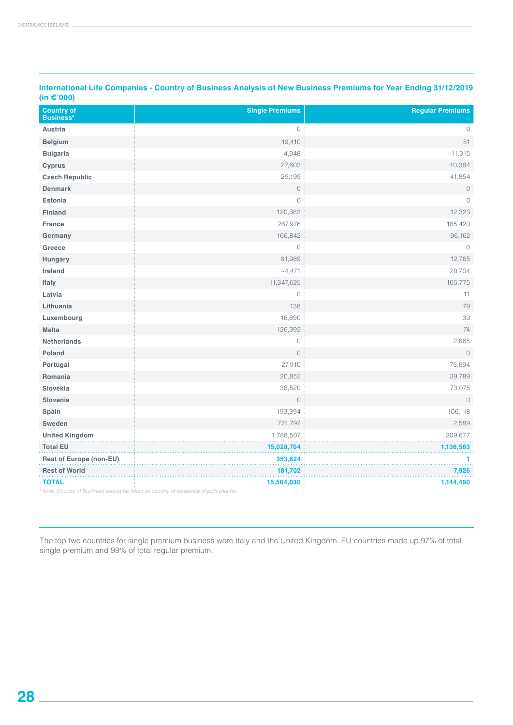| <b>Country of</b><br><b>Business*</b> | <b>Single Premiums</b>                                                                           | <b>Regular Premiums</b> |
|---------------------------------------|--------------------------------------------------------------------------------------------------|-------------------------|
| <b>Austria</b>                        | $\circ$                                                                                          | $\circ$                 |
| <b>Belgium</b>                        | 19,410                                                                                           | 51                      |
| <b>Bulgaria</b>                       | 4,948                                                                                            | 11,315                  |
| <b>Cyprus</b>                         | 27,603                                                                                           | 40,384                  |
| <b>Czech Republic</b>                 | 29,199                                                                                           | 41,854                  |
| <b>Denmark</b>                        | $\circ$                                                                                          | $\mathbf 0$             |
| <b>Estonia</b>                        | $\circ$                                                                                          | $\circ$                 |
| <b>Finland</b>                        | 120,383                                                                                          | 12,323                  |
| <b>France</b>                         | 267,976                                                                                          | 185,420                 |
| Germany                               | 166,842                                                                                          | 96,162                  |
| Greece                                | $\circ$                                                                                          | $\circ$                 |
| Hungary                               | 61,989                                                                                           | 12,765                  |
| Ireland                               | $-4,471$                                                                                         | 20,704                  |
| Italy                                 | 11,347,625                                                                                       | 105,775                 |
| Latvia                                | $\circ$                                                                                          | 11                      |
| Lithuania                             | 138                                                                                              | 79                      |
| Luxembourg                            | 16,690                                                                                           | 39                      |
| <b>Malta</b>                          | 126,392                                                                                          | 74                      |
| <b>Netherlands</b>                    | $\circ$                                                                                          | 2,665                   |
| Poland                                | $\overline{0}$                                                                                   | $\circ$                 |
| Portugal                              | 27,910                                                                                           | 75,694                  |
| Romania                               | 20,852                                                                                           | 39,789                  |
| Slovekia                              | 38,520                                                                                           | 73,075                  |
| Slovania                              | $\circ$                                                                                          | $\circ$                 |
| Spain                                 | 193,394                                                                                          | 106,118                 |
| Sweden                                | 774,797                                                                                          | 2,589                   |
| <b>United Kingdom</b>                 | 1,788,507                                                                                        | 309,677                 |
| <b>Total EU</b>                       | 15,028,704                                                                                       | 1,136,563               |
| <b>Rest of Europe (non-EU)</b>        | 353,624                                                                                          | 1                       |
| <b>Rest of World</b>                  | 181,702                                                                                          | 7,926                   |
| <b>TOTAL</b>                          | 15,564,030<br>Note: Country of Business should be taken as country of residence of policyholder. | 1,144,490               |

**International Life Companies - Country of Business Analysis of New Business Premiums for Year Ending 31/12/2019 (in €'000)**

The top two countries for single premium business were Italy and the United Kingdom. EU countries made up 97% of total single premium and 99% of total regular premium.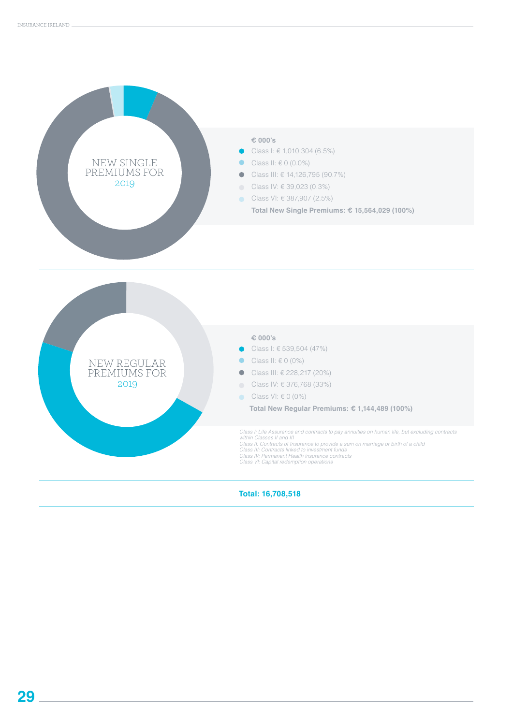



**Total: 16,708,518**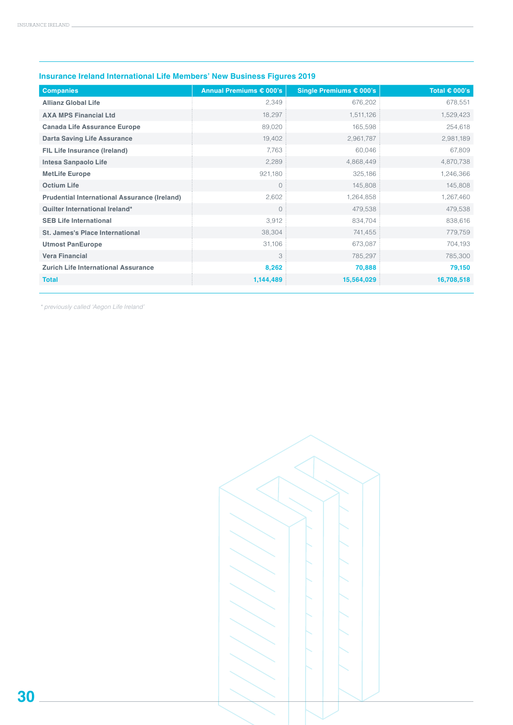| <b>Companies</b>                                    | Annual Premiums € 000's | Single Premiums € 000's | Total $\epsilon$ 000's |
|-----------------------------------------------------|-------------------------|-------------------------|------------------------|
| <b>Allianz Global Life</b>                          | 2,349                   | 676,202                 | 678,551                |
| <b>AXA MPS Financial Ltd</b>                        | 18,297                  | 1,511,126               | 1,529,423              |
| <b>Canada Life Assurance Europe</b>                 | 89,020                  | 165,598                 | 254,618                |
| <b>Darta Saving Life Assurance</b>                  | 19,402                  | 2,961,787               | 2,981,189              |
| FIL Life Insurance (Ireland)                        | 7,763                   | 60,046                  | 67,809                 |
| Intesa Sanpaolo Life                                | 2,289                   | 4,868,449               | 4,870,738              |
| <b>MetLife Europe</b>                               | 921,180                 | 325,186                 | 1,246,366              |
| <b>Octium Life</b>                                  | $\overline{0}$          | 145,808                 | 145,808                |
| <b>Prudential International Assurance (Ireland)</b> | 2,602                   | 1,264,858               | 1,267,460              |
| Quilter International Ireland*                      | $\overline{0}$          | 479,538                 | 479,538                |
| <b>SEB Life International</b>                       | 3,912                   | 834,704                 | 838,616                |
| <b>St. James's Place International</b>              | 38,304                  | 741,455                 | 779,759                |
| <b>Utmost PanEurope</b>                             | 31,106                  | 673,087                 | 704,193                |
| <b>Vera Financial</b>                               | 3                       | 785,297                 | 785,300                |
| <b>Zurich Life International Assurance</b>          | 8,262                   | 70,888                  | 79,150                 |
| <b>Total</b>                                        | 1,144,489               | 15,564,029              | 16,708,518             |

### **Insurance Ireland International Life Members' New Business Figures 2019**

*\* previously called 'Aegon Life Ireland'*